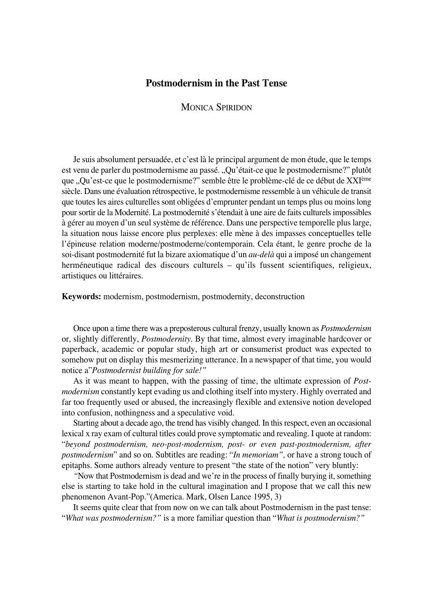## **Postmodernism in the Past Tense**

MONICA SPIRIDON

Je suis absolument persuadée, et c'est là le principal argument de mon étude, que le temps est venu de parler du postmodernisme au passé. "Qu'était-ce que le postmodernisme?" plutôt que "Qu'est-ce que le postmodernisme?" semble être le problème-clé de ce début de XXI<sup>ème</sup> siècle. Dans une évaluation rétrospective, le postmodernisme ressemble à un véhicule de transit que toutes les aires culturelles sont obligées d'emprunter pendant un temps plus ou moins long pour sortir de la Modernité. La postmodernité s'étendait à une aire de faits culturels impossibles à gérer au moyen d'un seul système de référence. Dans une perspective temporelle plus large, la situation nous laisse encore plus perplexes: elle mène à des impasses conceptuelles telle l'épineuse relation moderne/postmoderne/contemporain. Cela étant, le genre proche de la soi°disant postmodernité fut la bizare axiomatique d'un *au°delà* qui a imposé un changement herméneutique radical des discours culturels – qu'ils fussent scientifiques, religieux, artistiques ou littéraires.

**Keywords:** modernism, postmodernism, postmodernity, deconstruction

Once upon a time there was a preposterous cultural frenzy, usually known as *Postmodernism* or, slightly differently, *Postmodernity.* By that time, almost every imaginable hardcover or paperback, academic or popular study, high art or consumerist product was expected to somehow put on display this mesmerizing utterance. In a newspaper of that time, you would notice a"*Postmodernist building for sale!"*

As it was meant to happen, with the passing of time, the ultimate expression of *Postmodernism* constantly kept evading us and clothing itself into mystery. Highly overrated and far too frequently used or abused, the increasingly flexible and extensive notion developed into confusion, nothingness and a speculative void.

Starting about a decade ago, the trend has visibly changed. In this respect, even an occasional lexical x ray exam of cultural titles could prove symptomatic and revealing. I quote at random: "*beyond postmodernism, neo°post°modernism, post° or even past°postmodernism, after postmodernism*" and so on. Subtitles are reading: "*In memoriam",* or have a strong touch of epitaphs. Some authors already venture to present "the state of the notion" very bluntly:

*"*Now that Postmodernism is dead and we're in the process of finally burying it, something else is starting to take hold in the cultural imagination and I propose that we call this new phenomenon Avant-Pop."(America. Mark, Olsen Lance 1995, 3)

It seems quite clear that from now on we can talk about Postmodernism in the past tense: "*What was postmodernism?"* is a more familiar question than "*What is postmodernism?"*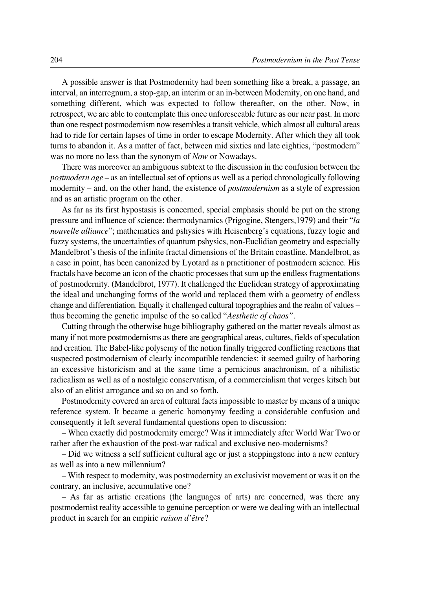A possible answer is that Postmodernity had been something like a break, a passage, an interval, an interregnum, a stop-gap, an interim or an in-between Modernity, on one hand, and something different, which was expected to follow thereafter, on the other. Now, in retrospect, we are able to contemplate this once unforeseeable future as our near past. In more than one respect postmodernism now resembles a transit vehicle, which almost all cultural areas had to ride for certain lapses of time in order to escape Modernity. After which they all took turns to abandon it. As a matter of fact, between mid sixties and late eighties, "postmodern" was no more no less than the synonym of *Now* or Nowadays*.*

There was moreover an ambiguous subtext to the discussion in the confusion between the *postmodern age –* as an intellectual set of options as well as a period chronologically following modernity – and, on the other hand, the existence of *postmodernism* as a style of expression and as an artistic program on the other.

As far as its first hypostasis is concerned, special emphasis should be put on the strong pressure and influence of science: thermodynamics (Prigogine, Stengers,1979) and their "*la nouvelle alliance*"; mathematics and pshysics with Heisenberg's equations, fuzzy logic and fuzzy systems, the uncertainties of quantum pshysics, non-Euclidian geometry and especially Mandelbrot's thesis of the infinite fractal dimensions of the Britain coastline. Mandelbrot, as a case in point, has been canonized by Lyotard as a practitioner of postmodern science. His fractals have become an icon of the chaotic processes that sum up the endless fragmentations of postmodernity. (Mandelbrot, 1977). It challenged the Euclidean strategy of approximating the ideal and unchanging forms of the world and replaced them with a geometry of endless change and differentiation. Equally it challenged cultural topographies and the realm of values – thus becoming the genetic impulse of the so called "*Aesthetic of chaos".*

Cutting through the otherwise huge bibliography gathered on the matter reveals almost as many if not more postmodernisms as there are geographical areas, cultures, fields of speculation and creation. The Babel-like polysemy of the notion finally triggered conflicting reactions that suspected postmodernism of clearly incompatible tendencies: it seemed guilty of harboring an excessive historicism and at the same time a pernicious anachronism, of a nihilistic radicalism as well as of a nostalgic conservatism, of a commercialism that verges kitsch but also of an elitist arrogance and so on and so forth.

Postmodernity covered an area of cultural facts impossible to master by means of a unique reference system. It became a generic homonymy feeding a considerable confusion and consequently it left several fundamental questions open to discussion:

– When exactly did postmodernity emerge? Was it immediately after World War Two or rather after the exhaustion of the post-war radical and exclusive neo-modernisms?

– Did we witness a self sufficient cultural age or just a steppingstone into a new century as well as into a new millennium?

– With respect to modernity, was postmodernity an exclusivist movement or was it on the contrary, an inclusive, accumulative one?

– As far as artistic creations (the languages of arts) are concerned, was there any postmodernist reality accessible to genuine perception or were we dealing with an intellectual product in search for an empiric *raison d'être*?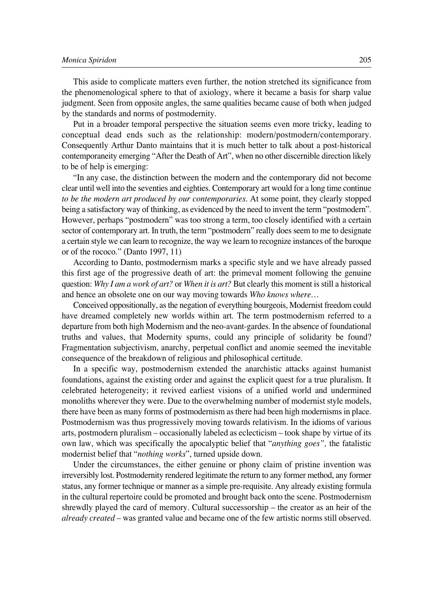This aside to complicate matters even further, the notion stretched its significance from the phenomenological sphere to that of axiology, where it became a basis for sharp value judgment. Seen from opposite angles, the same qualities became cause of both when judged by the standards and norms of postmodernity.

Put in a broader temporal perspective the situation seems even more tricky, leading to conceptual dead ends such as the relationship: modern/postmodern/contemporary. Consequently Arthur Danto maintains that it is much better to talk about a post-historical contemporaneity emerging "After the Death of Art", when no other discernible direction likely to be of help is emerging:

"In any case, the distinction between the modern and the contemporary did not become clear until well into the seventies and eighties. Contemporary art would for a long time continue *to be the modern art produced by our contemporaries*. At some point, they clearly stopped being a satisfactory way of thinking, as evidenced by the need to invent the term "postmodern". However, perhaps "postmodern" was too strong a term, too closely identified with a certain sector of contemporary art. In truth, the term "postmodern" really does seem to me to designate a certain style we can learn to recognize, the way we learn to recognize instances of the baroque or of the rococo." (Danto 1997, 11)

According to Danto, postmodernism marks a specific style and we have already passed this first age of the progressive death of art: the primeval moment following the genuine question: *Why I am a work of art?* or *When it is art?* But clearly this moment is still a historical and hence an obsolete one on our way moving towards *Who knows where…*

Conceived oppositionally, as the negation of everything bourgeois, Modernist freedom could have dreamed completely new worlds within art. The term postmodernism referred to a departure from both high Modernism and the neo-avant-gardes. In the absence of foundational truths and values, that Modernity spurns, could any principle of solidarity be found? Fragmentation subjectivism, anarchy, perpetual conflict and anomie seemed the inevitable consequence of the breakdown of religious and philosophical certitude.

In a specific way, postmodernism extended the anarchistic attacks against humanist foundations, against the existing order and against the explicit quest for a true pluralism. It celebrated heterogeneity; it revived earliest visions of a unified world and undermined monoliths wherever they were. Due to the overwhelming number of modernist style models, there have been as many forms of postmodernism as there had been high modernisms in place. Postmodernism was thus progressively moving towards relativism. In the idioms of various arts, postmodern pluralism – occasionally labeled as eclecticism – took shape by virtue of its own law, which was specifically the apocalyptic belief that "*anything goes",* the fatalistic modernist belief that "*nothing works*", turned upside down.

Under the circumstances, the either genuine or phony claim of pristine invention was irreversibly lost. Postmodernity rendered legitimate the return to any former method, any former status, any former technique or manner as a simple pre-requisite. Any already existing formula in the cultural repertoire could be promoted and brought back onto the scene. Postmodernism shrewdly played the card of memory. Cultural successorship – the creator as an heir of the *already created* – was granted value and became one of the few artistic norms still observed.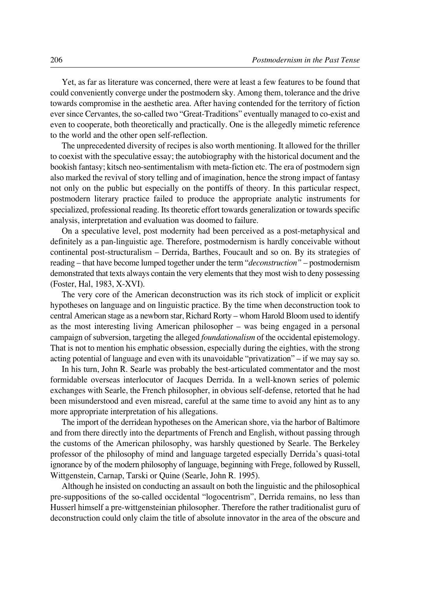Yet, as far as literature was concerned, there were at least a few features to be found that could conveniently converge under the postmodern sky. Among them, tolerance and the drive towards compromise in the aesthetic area. After having contended for the territory of fiction ever since Cervantes, the so-called two "Great-Traditions" eventually managed to co-exist and even to cooperate, both theoretically and practically. One is the allegedly mimetic reference to the world and the other open self-reflection.

The unprecedented diversity of recipes is also worth mentioning. It allowed for the thriller to coexist with the speculative essay; the autobiography with the historical document and the bookish fantasy; kitsch neo-sentimentalism with meta-fiction etc. The era of postmodern sign also marked the revival of story telling and of imagination, hence the strong impact of fantasy not only on the public but especially on the pontiffs of theory. In this particular respect, postmodern literary practice failed to produce the appropriate analytic instruments for specialized, professional reading. Its theoretic effort towards generalization or towards specific analysis, interpretation and evaluation was doomed to failure.

On a speculative level, post modernity had been perceived as a post-metaphysical and definitely as a pan-linguistic age. Therefore, postmodernism is hardly conceivable without continental post-structuralism – Derrida, Barthes, Foucault and so on. By its strategies of reading – that have become lumped together under the term "*deconstruction"* – postmodernism demonstrated that texts always contain the very elements that they most wish to deny possessing (Foster, Hal, 1983, X-XVI).

The very core of the American deconstruction was its rich stock of implicit or explicit hypotheses on language and on linguistic practice. By the time when deconstruction took to central American stage as a newborn star, Richard Rorty – whom Harold Bloom used to identify as the most interesting living American philosopher – was being engaged in a personal campaign of subversion, targeting the alleged *foundationalism* of the occidental epistemology. That is not to mention his emphatic obsession, especially during the eighties, with the strong acting potential of language and even with its unavoidable "privatization" – if we may say so.

In his turn, John R. Searle was probably the best-articulated commentator and the most formidable overseas interlocutor of Jacques Derrida. In a well-known series of polemic exchanges with Searle, the French philosopher, in obvious self-defense, retorted that he had been misunderstood and even misread, careful at the same time to avoid any hint as to any more appropriate interpretation of his allegations.

The import of the derridean hypotheses on the American shore, via the harbor of Baltimore and from there directly into the departments of French and English, without passing through the customs of the American philosophy, was harshly questioned by Searle. The Berkeley professor of the philosophy of mind and language targeted especially Derrida's quasi-total ignorance by of the modern philosophy of language, beginning with Frege, followed by Russell, Wittgenstein, Carnap, Tarski or Quine (Searle, John R. 1995).

Although he insisted on conducting an assault on both the linguistic and the philosophical pre-suppositions of the so-called occidental "logocentrism", Derrida remains, no less than Husserl himself a pre-wittgensteinian philosopher. Therefore the rather traditionalist guru of deconstruction could only claim the title of absolute innovator in the area of the obscure and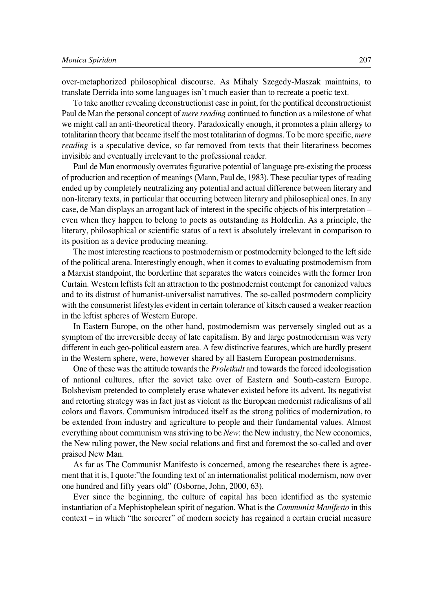over°metaphorized philosophical discourse. As Mihaly Szegedy°Maszak maintains, to translate Derrida into some languages isn't much easier than to recreate a poetic text.

To take another revealing deconstructionist case in point, for the pontifical deconstructionist Paul de Man the personal concept of *mere reading* continued to function as a milestone of what we might call an anti-theoretical theory. Paradoxically enough, it promotes a plain allergy to totalitarian theory that became itself the most totalitarian of dogmas. To be more specific, *mere reading* is a speculative device, so far removed from texts that their literariness becomes invisible and eventually irrelevant to the professional reader.

Paul de Man enormously overrates figurative potential of language pre-existing the process of production and reception of meanings (Mann, Paul de, 1983). These peculiar types of reading ended up by completely neutralizing any potential and actual difference between literary and non-literary texts, in particular that occurring between literary and philosophical ones. In any case, de Man displays an arrogant lack of interest in the specific objects of his interpretation – even when they happen to belong to poets as outstanding as Holderlin. As a principle, the literary, philosophical or scientific status of a text is absolutely irrelevant in comparison to its position as a device producing meaning.

The most interesting reactions to postmodernism or postmodernity belonged to the left side of the political arena. Interestingly enough, when it comes to evaluating postmodernism from a Marxist standpoint, the borderline that separates the waters coincides with the former Iron Curtain. Western leftists felt an attraction to the postmodernist contempt for canonized values and to its distrust of humanist-universalist narratives. The so-called postmodern complicity with the consumerist lifestyles evident in certain tolerance of kitsch caused a weaker reaction in the leftist spheres of Western Europe.

In Eastern Europe, on the other hand, postmodernism was perversely singled out as a symptom of the irreversible decay of late capitalism. By and large postmodernism was very different in each geo-political eastern area. A few distinctive features, which are hardly present in the Western sphere, were, however shared by all Eastern European postmodernisms.

One of these was the attitude towards the *Proletkult* and towards the forced ideologisation of national cultures, after the soviet take over of Eastern and South-eastern Europe. Bolshevism pretended to completely erase whatever existed before its advent. Its negativist and retorting strategy was in fact just as violent as the European modernist radicalisms of all colors and flavors. Communism introduced itself as the strong politics of modernization, to be extended from industry and agriculture to people and their fundamental values. Almost everything about communism was striving to be *New*: the New industry, the New economics, the New ruling power, the New social relations and first and foremost the so-called and over praised New Man.

As far as The Communist Manifesto is concerned, among the researches there is agreement that it is, I quote:"the founding text of an internationalist political modernism, now over one hundred and fifty years old" (Osborne, John, 2000, 63).

Ever since the beginning, the culture of capital has been identified as the systemic instantiation of a Mephistophelean spirit of negation. What is the *Communist Manifesto* in this context – in which "the sorcerer" of modern society has regained a certain crucial measure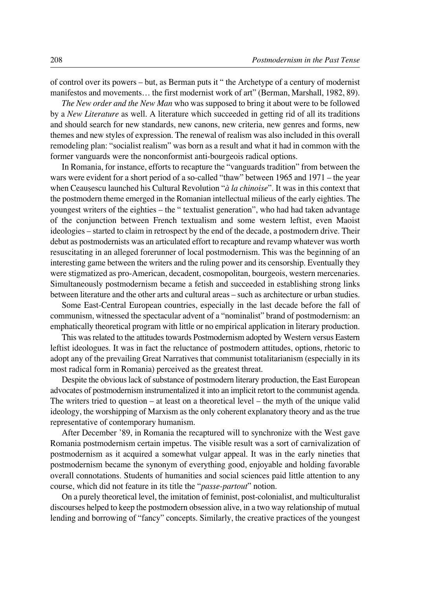of control over its powers – but, as Berman puts it " the Archetype of a century of modernist manifestos and movements… the first modernist work of art" (Berman, Marshall, 1982, 89).

*The New order and the New Man* who was supposed to bring it about were to be followed by a *New Literature* as well. A literature which succeeded in getting rid of all its traditions and should search for new standards, new canons, new criteria, new genres and forms, new themes and new styles of expression. The renewal of realism was also included in this overall remodeling plan: "socialist realism" was born as a result and what it had in common with the former vanguards were the nonconformist anti-bourgeois radical options.

In Romania, for instance, efforts to recapture the "vanguards tradition" from between the wars were evident for a short period of a so-called "thaw" between 1965 and  $1971$  – the year when Ceausescu launched his Cultural Revolution "*à la chinoise*". It was in this context that the postmodern theme emerged in the Romanian intellectual milieus of the early eighties. The youngest writers of the eighties – the " textualist generation", who had had taken advantage of the conjunction between French textualism and some western leftist, even Maoist ideologies – started to claim in retrospect by the end of the decade, a postmodern drive. Their debut as postmodernists was an articulated effort to recapture and revamp whatever was worth resuscitating in an alleged forerunner of local postmodernism. This was the beginning of an interesting game between the writers and the ruling power and its censorship. Eventually they were stigmatized as pro°American, decadent, cosmopolitan, bourgeois, western mercenaries. Simultaneously postmodernism became a fetish and succeeded in establishing strong links between literature and the other arts and cultural areas – such as architecture or urban studies.

Some East-Central European countries, especially in the last decade before the fall of communism, witnessed the spectacular advent of a "nominalist" brand of postmodernism: an emphatically theoretical program with little or no empirical application in literary production.

This was related to the attitudes towards Postmodernism adopted by Western versus Eastern leftist ideologues. It was in fact the reluctance of postmodern attitudes, options, rhetoric to adopt any of the prevailing Great Narratives that communist totalitarianism (especially in its most radical form in Romania) perceived as the greatest threat.

Despite the obvious lack of substance of postmodern literary production, the East European advocates of postmodernism instrumentalized it into an implicit retort to the communist agenda. The writers tried to question – at least on a theoretical level – the myth of the unique valid ideology, the worshipping of Marxism as the only coherent explanatory theory and as the true representative of contemporary humanism.

After December '89, in Romania the recaptured will to synchronize with the West gave Romania postmodernism certain impetus. The visible result was a sort of carnivalization of postmodernism as it acquired a somewhat vulgar appeal. It was in the early nineties that postmodernism became the synonym of everything good, enjoyable and holding favorable overall connotations. Students of humanities and social sciences paid little attention to any course, which did not feature in its title the "*passe°partout*" notion.

On a purely theoretical level, the imitation of feminist, post-colonialist, and multiculturalist discourses helped to keep the postmodern obsession alive, in a two way relationship of mutual lending and borrowing of "fancy" concepts. Similarly, the creative practices of the youngest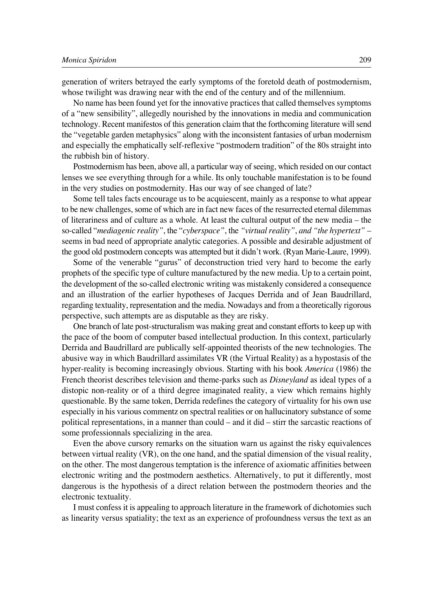generation of writers betrayed the early symptoms of the foretold death of postmodernism, whose twilight was drawing near with the end of the century and of the millennium.

No name has been found yet for the innovative practices that called themselves symptoms of a "new sensibility", allegedly nourished by the innovations in media and communication technology. Recent manifestos of this generation claim that the forthcoming literature will send the "vegetable garden metaphysics" along with the inconsistent fantasies of urban modernism and especially the emphatically self-reflexive "postmodern tradition" of the 80s straight into the rubbish bin of history.

Postmodernism has been, above all, a particular way of seeing, which resided on our contact lenses we see everything through for a while. Its only touchable manifestation is to be found in the very studies on postmodernity. Has our way of see changed of late?

Some tell tales facts encourage us to be acquiescent, mainly as a response to what appear to be new challenges, some of which are in fact new faces of the resurrected eternal dilemmas of literariness and of culture as a whole. At least the cultural output of the new media – the so°called "*mediagenic reality"*, the "*cyberspace"*, the *"virtual reality"*, *and "the hypertext" –* seems in bad need of appropriate analytic categories. A possible and desirable adjustment of the good old postmodern concepts was attempted but it didn't work. (Ryan Marie-Laure, 1999).

Some of the venerable "gurus" of deconstruction tried very hard to become the early prophets of the specific type of culture manufactured by the new media. Up to a certain point, the development of the so-called electronic writing was mistakenly considered a consequence and an illustration of the earlier hypotheses of Jacques Derrida and of Jean Baudrillard, regarding textuality, representation and the media. Nowadays and from a theoretically rigorous perspective, such attempts are as disputable as they are risky.

One branch of late post-structuralism was making great and constant efforts to keep up with the pace of the boom of computer based intellectual production. In this context, particularly Derrida and Baudrillard are publically self-appointed theorists of the new technologies. The abusive way in which Baudrillard assimilates VR (the Virtual Reality) as a hypostasis of the hyper-reality is becoming increasingly obvious. Starting with his book *America* (1986) the French theorist describes television and theme-parks such as *Disneyland* as ideal types of a distopic non-reality or of a third degree imaginated reality, a view which remains highly questionable. By the same token, Derrida redefines the category of virtuality for his own use especially in his various commentz on spectral realities or on hallucinatory substance of some political representations, in a manner than could – and it did – stirr the sarcastic reactions of some professionnals specializing in the area.

Even the above cursory remarks on the situation warn us against the risky equivalences between virtual reality (VR), on the one hand, and the spatial dimension of the visual reality, on the other. The most dangerous temptation is the inference of axiomatic affinities between electronic writing and the postmodern aesthetics. Alternatively, to put it differently, most dangerous is the hypothesis of a direct relation between the postmodern theories and the electronic textuality.

I must confess it is appealing to approach literature in the framework of dichotomies such as linearity versus spatiality; the text as an experience of profoundness versus the text as an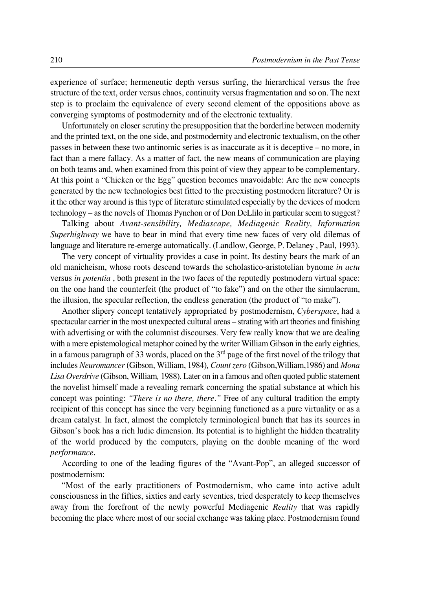experience of surface; hermeneutic depth versus surfing, the hierarchical versus the free structure of the text, order versus chaos, continuity versus fragmentation and so on. The next step is to proclaim the equivalence of every second element of the oppositions above as converging symptoms of postmodernity and of the electronic textuality.

Unfortunately on closer scrutiny the presupposition that the borderline between modernity and the printed text, on the one side, and postmodernity and electronic textualism, on the other passes in between these two antinomic series is as inaccurate as it is deceptive – no more, in fact than a mere fallacy. As a matter of fact, the new means of communication are playing on both teams and, when examined from this point of view they appear to be complementary. At this point a "Chicken or the Egg" question becomes unavoidable: Are the new concepts generated by the new technologies best fitted to the preexisting postmodern literature? Or is it the other way around is this type of literature stimulated especially by the devices of modern technology – as the novels of Thomas Pynchon or of Don DeLlilo in particular seem to suggest?

Talking about *Avant°sensibility, Mediascape, Mediagenic Reality, Information Superhighway* we have to bear in mind that every time new faces of very old dilemas of language and literature re-emerge automatically. (Landlow, George, P. Delaney, Paul, 1993).

The very concept of virtuality provides a case in point. Its destiny bears the mark of an old manicheism, whose roots descend towards the scholastico°aristotelian bynome *in actu* versus *in potentia* , both present in the two faces of the reputedly postmodern virtual space: on the one hand the counterfeit (the product of "to fake") and on the other the simulacrum, the illusion, the specular reflection, the endless generation (the product of "to make").

Another slipery concept tentatively appropriated by postmodernism, *Cyberspace*, had a spectacular carrier in the most unexpected cultural areas – strating with art theories and finishing with advertising or with the columnist discourses. Very few really know that we are dealing with a mere epistemological metaphor coined by the writer William Gibson in the early eighties, in a famous paragraph of 33 words, placed on the 3rd page of the first novel of the trilogy that includes *Neuromancer* (Gibson, William, 1984)*, Count zero* (Gibson,William,1986) and *Mona Lisa Overdrive* (Gibson, William*,* 1988). Later on in a famous and often quoted public statement the novelist himself made a revealing remark concerning the spatial substance at which his concept was pointing: *"There is no there, there."* Free of any cultural tradition the empty recipient of this concept has since the very beginning functioned as a pure virtuality or as a dream catalyst. In fact, almost the completely terminological bunch that has its sources in Gibson's book has a rich ludic dimension. Its potential is to highlight the hidden theatrality of the world produced by the computers, playing on the double meaning of the word *performance.*

According to one of the leading figures of the "Avant-Pop", an alleged successor of postmodernism:

"Most of the early practitioners of Postmodernism, who came into active adult consciousness in the fifties, sixties and early seventies, tried desperately to keep themselves away from the forefront of the newly powerful Mediagenic *Reality* that was rapidly becoming the place where most of our social exchange was taking place. Postmodernism found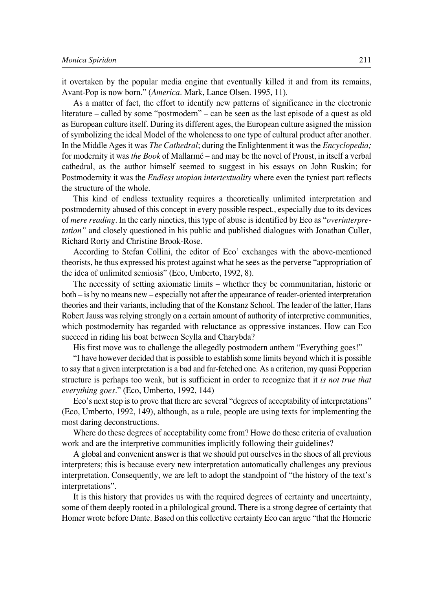it overtaken by the popular media engine that eventually killed it and from its remains, Avant-Pop is now born." (*America*. Mark, Lance Olsen. 1995, 11).

As a matter of fact, the effort to identify new patterns of significance in the electronic literature – called by some "postmodern" – can be seen as the last episode of a quest as old as European culture itself. During its different ages, the European culture asigned the mission of symbolizing the ideal Model of the wholeness to one type of cultural product after another. In the Middle Ages it was *The Cathedral*; during the Enlightenment it was the *Encyclopedia;* for modernity it was *the Book* of Mallarmé – and may be the novel of Proust, in itself a verbal cathedral, as the author himself seemed to suggest in his essays on John Ruskin; for Postmodernity it was the *Endless utopian intertextuality* where even the tyniest part reflects the structure of the whole.

This kind of endless textuality requires a theoretically unlimited interpretation and postmodernity abused of this concept in every possible respect., especially due to its devices of *mere reading.* In the early nineties, this type of abuse is identified by Eco as "*overinterpretation"* and closely questioned in his public and published dialogues with Jonathan Culler, Richard Rorty and Christine Brook-Rose.

According to Stefan Collini, the editor of Eco' exchanges with the above-mentioned theorists, he thus expressed his protest against what he sees as the perverse "appropriation of the idea of unlimited semiosis" (Eco, Umberto, 1992, 8).

The necessity of setting axiomatic limits – whether they be communitarian, historic or both – is by no means new – especially not after the appearance of reader-oriented interpretation theories and their variants, including that of the Konstanz School. The leader of the latter, Hans Robert Jauss was relying strongly on a certain amount of authority of interpretive communities, which postmodernity has regarded with reluctance as oppressive instances. How can Eco succeed in riding his boat between Scylla and Charybda?

His first move was to challenge the allegedly postmodern anthem "Everything goes!"

"I have however decided that is possible to establish some limits beyond which it is possible to say that a given interpretation is a bad and far-fetched one. As a criterion, my quasi Popperian structure is perhaps too weak, but is sufficient in order to recognize that it *is not true that everything goes.*" (Eco, Umberto, 1992, 144)

Eco's next step is to prove that there are several "degrees of acceptability of interpretations" (Eco, Umberto, 1992, 149), although, as a rule, people are using texts for implementing the most daring deconstructions.

Where do these degrees of acceptability come from? Howe do these criteria of evaluation work and are the interpretive communities implicitly following their guidelines?

A global and convenient answer is that we should put ourselves in the shoes of all previous interpreters; this is because every new interpretation automatically challenges any previous interpretation. Consequently, we are left to adopt the standpoint of "the history of the text's interpretations".

It is this history that provides us with the required degrees of certainty and uncertainty, some of them deeply rooted in a philological ground. There is a strong degree of certainty that Homer wrote before Dante. Based on this collective certainty Eco can argue "that the Homeric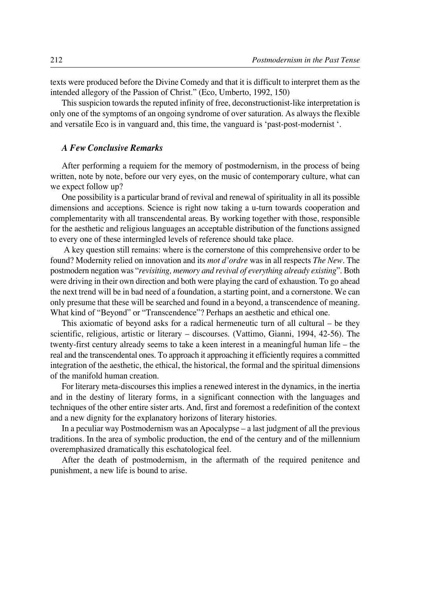texts were produced before the Divine Comedy and that it is difficult to interpret them as the intended allegory of the Passion of Christ." (Eco, Umberto, 1992, 150)

This suspicion towards the reputed infinity of free, deconstructionist-like interpretation is only one of the symptoms of an ongoing syndrome of over saturation. As always the flexible and versatile Eco is in vanguard and, this time, the vanguard is 'past-post-modernist'.

## *A Few Conclusive Remarks*

After performing a requiem for the memory of postmodernism, in the process of being written, note by note, before our very eyes, on the music of contemporary culture, what can we expect follow up?

One possibility is a particular brand of revival and renewal of spirituality in all its possible dimensions and acceptions. Science is right now taking a u-turn towards cooperation and complementarity with all transcendental areas. By working together with those, responsible for the aesthetic and religious languages an acceptable distribution of the functions assigned to every one of these intermingled levels of reference should take place.

A key question still remains: where is the cornerstone of this comprehensive order to be found? Modernity relied on innovation and its *mot d'ordre* was in all respects *The New.* The postmodern negation was "*revisiting, memory and revival of everything already existing*". Both were driving in their own direction and both were playing the card of exhaustion. To go ahead the next trend will be in bad need of a foundation, a starting point, and a cornerstone. We can only presume that these will be searched and found in a beyond, a transcendence of meaning. What kind of "Beyond" or "Transcendence"? Perhaps an aesthetic and ethical one.

This axiomatic of beyond asks for a radical hermeneutic turn of all cultural – be they scientific, religious, artistic or literary – discourses. (Vattimo, Gianni, 1994, 42-56). The twenty-first century already seems to take a keen interest in a meaningful human life – the real and the transcendental ones. To approach it approaching it efficiently requires a committed integration of the aesthetic, the ethical, the historical, the formal and the spiritual dimensions of the manifold human creation.

For literary meta-discourses this implies a renewed interest in the dynamics, in the inertia and in the destiny of literary forms, in a significant connection with the languages and techniques of the other entire sister arts. And, first and foremost a redefinition of the context and a new dignity for the explanatory horizons of literary histories.

In a peculiar way Postmodernism was an Apocalypse – a last judgment of all the previous traditions. In the area of symbolic production, the end of the century and of the millennium overemphasized dramatically this eschatological feel.

After the death of postmodernism, in the aftermath of the required penitence and punishment, a new life is bound to arise.